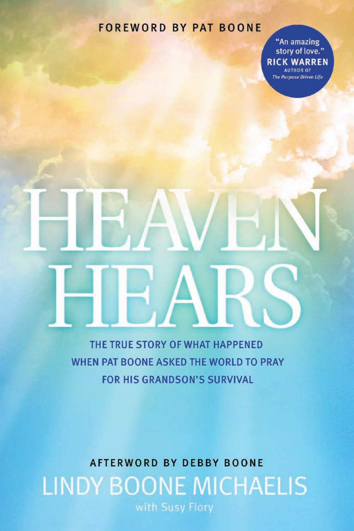## **FOREWORD BY PAT BOONE**

"An amazing story of love." **RICK WARREN AUTHOR OF** The Purpose Driven Life

THE TRUE STORY OF WHAT HAPPENED WHEN PAT BOONE ASKED THE WORLD TO PRAY **FOR HIS GRANDSON'S SURVIVAL** 

**AFTERWORD BY DEBBY BOONE LINDY BOONE MICHAELIS** with Susy Flory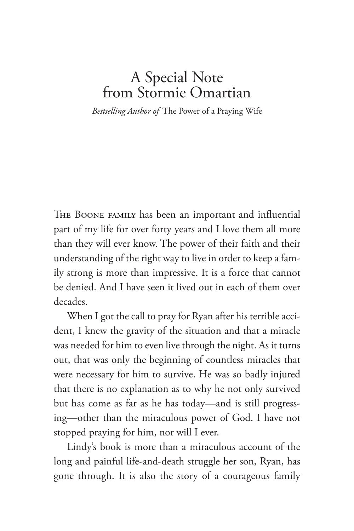# A Special Note from Stormie Omartian

*Bestselling Author of* The Power of a Praying Wife

The Boone family has been an important and influential part of my life for over forty years and I love them all more than they will ever know. The power of their faith and their understanding of the right way to live in order to keep a family strong is more than impressive. It is a force that cannot be denied. And I have seen it lived out in each of them over decades.

When I got the call to pray for Ryan after his terrible accident, I knew the gravity of the situation and that a miracle was needed for him to even live through the night. As it turns out, that was only the beginning of countless miracles that were necessary for him to survive. He was so badly injured that there is no explanation as to why he not only survived but has come as far as he has today—and is still progressing—other than the miraculous power of God. I have not stopped praying for him, nor will I ever.

Lindy's book is more than a miraculous account of the long and painful life-and-death struggle her son, Ryan, has gone through. It is also the story of a courageous family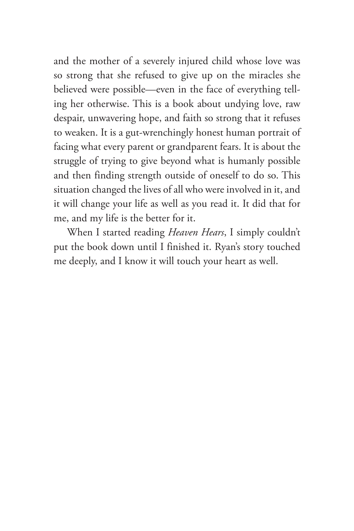and the mother of a severely injured child whose love was so strong that she refused to give up on the miracles she believed were possible—even in the face of everything telling her otherwise. This is a book about undying love, raw despair, unwavering hope, and faith so strong that it refuses to weaken. It is a gut-wrenchingly honest human portrait of facing what every parent or grandparent fears. It is about the struggle of trying to give beyond what is humanly possible and then finding strength outside of oneself to do so. This situation changed the lives of all who were involved in it, and it will change your life as well as you read it. It did that for me, and my life is the better for it.

When I started reading *Heaven Hears*, I simply couldn't put the book down until I finished it. Ryan's story touched me deeply, and I know it will touch your heart as well.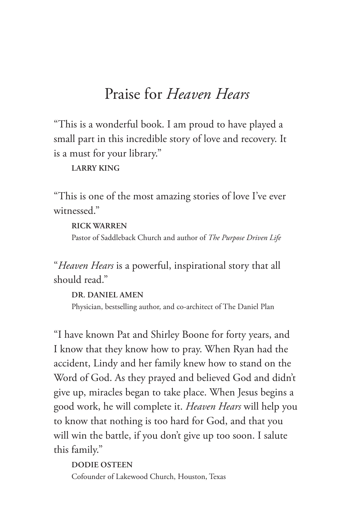# Praise for *Heaven Hears*

"This is a wonderful book. I am proud to have played a small part in this incredible story of love and recovery. It is a must for your library."

**Larry King**

"This is one of the most amazing stories of love I've ever witnessed."

#### **Rick Warren**

Pastor of Saddleback Church and author of *The Purpose Driven Life*

"*Heaven Hears* is a powerful, inspirational story that all should read."

#### **Dr. Daniel Amen**

Physician, bestselling author, and co-architect of The Daniel Plan

"I have known Pat and Shirley Boone for forty years, and I know that they know how to pray. When Ryan had the accident, Lindy and her family knew how to stand on the Word of God. As they prayed and believed God and didn't give up, miracles began to take place. When Jesus begins a good work, he will complete it. *Heaven Hears* will help you to know that nothing is too hard for God, and that you will win the battle, if you don't give up too soon. I salute this family."

#### **Dodie Osteen**

Cofounder of Lakewood Church, Houston, Texas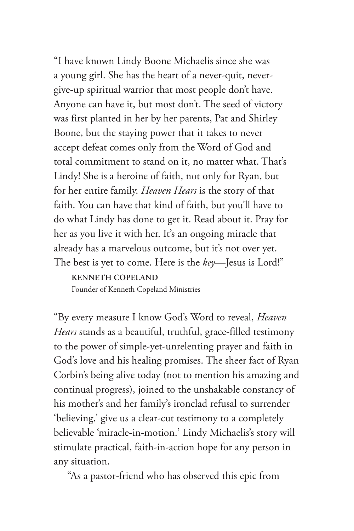"I have known Lindy Boone Michaelis since she was a young girl. She has the heart of a never-quit, nevergive-up spiritual warrior that most people don't have. Anyone can have it, but most don't. The seed of victory was first planted in her by her parents, Pat and Shirley Boone, but the staying power that it takes to never accept defeat comes only from the Word of God and total commitment to stand on it, no matter what. That's Lindy! She is a heroine of faith, not only for Ryan, but for her entire family. *Heaven Hears* is the story of that faith. You can have that kind of faith, but you'll have to do what Lindy has done to get it. Read about it. Pray for her as you live it with her. It's an ongoing miracle that already has a marvelous outcome, but it's not over yet. The best is yet to come. Here is the *key*—Jesus is Lord!"

**Kenneth Copeland** Founder of Kenneth Copeland Ministries

"By every measure I know God's Word to reveal, *Heaven Hears* stands as a beautiful, truthful, grace-filled testimony to the power of simple-yet-unrelenting prayer and faith in God's love and his healing promises. The sheer fact of Ryan Corbin's being alive today (not to mention his amazing and continual progress), joined to the unshakable constancy of his mother's and her family's ironclad refusal to surrender 'believing,' give us a clear-cut testimony to a completely believable 'miracle-in-motion.' Lindy Michaelis's story will stimulate practical, faith-in-action hope for any person in any situation.

"As a pastor-friend who has observed this epic from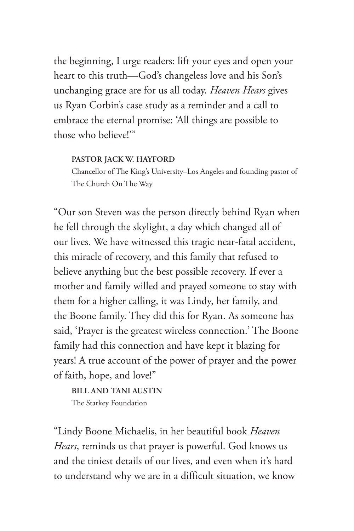the beginning, I urge readers: lift your eyes and open your heart to this truth—God's changeless love and his Son's unchanging grace are for us all today. *Heaven Hears* gives us Ryan Corbin's case study as a reminder and a call to embrace the eternal promise: 'All things are possible to those who believe!'"

#### **Pastor Jack W. Hayford**

Chancellor of The King's University–Los Angeles and founding pastor of The Church On The Way

"Our son Steven was the person directly behind Ryan when he fell through the skylight, a day which changed all of our lives. We have witnessed this tragic near-fatal accident, this miracle of recovery, and this family that refused to believe anything but the best possible recovery. If ever a mother and family willed and prayed someone to stay with them for a higher calling, it was Lindy, her family, and the Boone family. They did this for Ryan. As someone has said, 'Prayer is the greatest wireless connection.' The Boone family had this connection and have kept it blazing for years! A true account of the power of prayer and the power of faith, hope, and love!"

**Bill and Tani Austin** The Starkey Foundation

"Lindy Boone Michaelis, in her beautiful book *Heaven Hears*, reminds us that prayer is powerful. God knows us and the tiniest details of our lives, and even when it's hard to understand why we are in a difficult situation, we know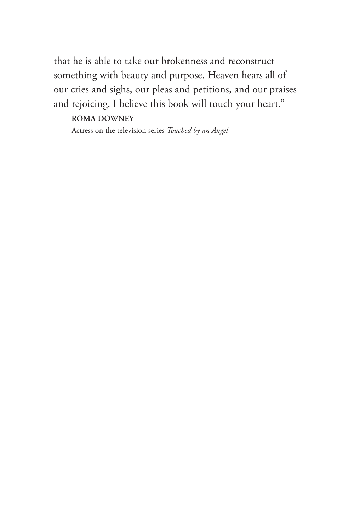that he is able to take our brokenness and reconstruct something with beauty and purpose. Heaven hears all of our cries and sighs, our pleas and petitions, and our praises and rejoicing. I believe this book will touch your heart."

### **Roma Downey**

Actress on the television series *Touched by an Angel*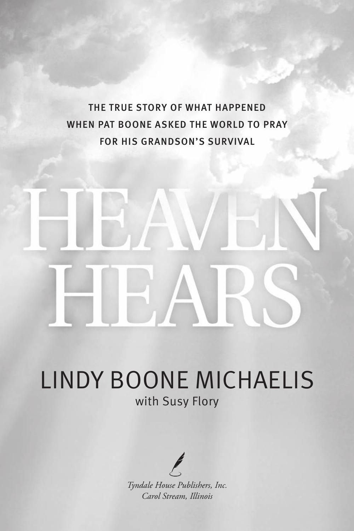The True Story of What Happened WHEN PAT BOONE ASKED THE WORLD TO PRAY for His Grandson's Survival

# Lindy Boone Michaelis with Susy Flory



*Tyndale House Publishers, Inc. Carol Stream, Illinois*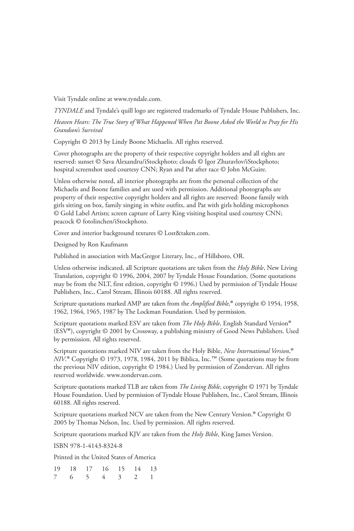Visit Tyndale online at www.tyndale.com.

*TYNDALE* and Tyndale's quill logo are registered trademarks of Tyndale House Publishers, Inc.

*Heaven Hears: The True Story of What Happened When Pat Boone Asked the World to Pray for His Grandson's Survival*

Copyright © 2013 by Lindy Boone Michaelis. All rights reserved.

Cover photographs are the property of their respective copyright holders and all rights are reserved: sunset © Sava Alexandru/iStockphoto; clouds © Igor Zhuravlov/iStockphoto; hospital screenshot used courtesy CNN; Ryan and Pat after race © John McGuire.

Unless otherwise noted, all interior photographs are from the personal collection of the Michaelis and Boone families and are used with permission. Additional photographs are property of their respective copyright holders and all rights are reserved: Boone family with girls sitting on box, family singing in white outfits, and Pat with girls holding microphones © Gold Label Artists; screen capture of Larry King visiting hospital used courtesy CNN; peacock © fotolinchen/iStockphoto.

Cover and interior background textures © Lost&taken.com.

Designed by Ron Kaufmann

Published in association with MacGregor Literary, Inc., of Hillsboro, OR.

Unless otherwise indicated, all Scripture quotations are taken from the *Holy Bible*, New Living Translation, copyright © 1996, 2004, 2007 by Tyndale House Foundation. (Some quotations may be from the NLT, first edition, copyright © 1996.) Used by permission of Tyndale House Publishers, Inc., Carol Stream, Illinois 60188. All rights reserved.

Scripture quotations marked AMP are taken from the *Amplified Bible*, ® copyright © 1954, 1958, 1962, 1964, 1965, 1987 by The Lockman Foundation. Used by permission.

Scripture quotations marked ESV are taken from *The Holy Bible*, English Standard Version®<br>(ESV®), copyright © 2001 by Crossway, a publishing ministry of Good News Publishers. Used by permission. All rights reserved.

Scripture quotations marked NIV are taken from the Holy Bible, *New International Version*,®<br>*NIV*.® Copyright © 1973, 1978, 1984, 2011 by Biblica, Inc.™ (Some quotations may be fro ® Copyright © 1973, 1978, 1984, 2011 by Biblica, Inc.™ (Some quotations may be from the previous NIV edition, copyright © 1984.) Used by permission of Zondervan. All rights reserved worldwide. www.zondervan.com.

Scripture quotations marked TLB are taken from *The Living Bible*, copyright © 1971 by Tyndale House Foundation. Used by permission of Tyndale House Publishers, Inc., Carol Stream, Illinois 60188. All rights reserved.

Scripture quotations marked NCV are taken from the New Century Version.® Copyright © 2005 by Thomas Nelson, Inc. Used by permission. All rights reserved.

Scripture quotations marked KJV are taken from the *Holy Bible*, King James Version.

ISBN 978-1-4143-8324-8

Printed in the United States of America

19 18 17 16 15 14 13 7 6 5 4 3 2 1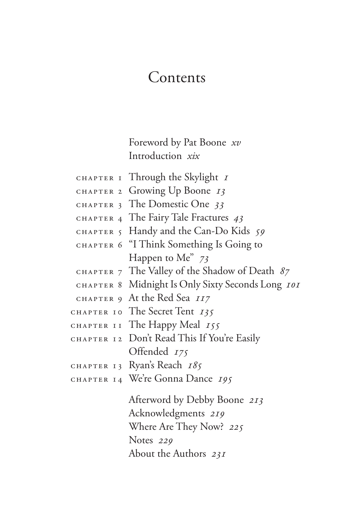# Contents

[Foreword by Pat Boone](#page-13-0) *xv* [Introduction](#page-17-0) *xix*

| CHAPTER I Through the Skylight I                  |
|---------------------------------------------------|
| CHAPTER 2 Growing Up Boone 13                     |
| CHAPTER 3 The Domestic One 33                     |
| CHAPTER 4 The Fairy Tale Fractures 43             |
| CHAPTER 5 Handy and the Can-Do Kids 59            |
| CHAPTER 6 "I Think Something Is Going to          |
| Happen to Me" 73                                  |
| CHAPTER 7 The Valley of the Shadow of Death $87$  |
| CHAPTER 8 Midnight Is Only Sixty Seconds Long 101 |
| CHAPTER 9 At the Red Sea II7                      |
| CHAPTER 10 The Secret Tent 135                    |
| CHAPTER II The Happy Meal 155                     |
| CHAPTER 12 Don't Read This If You're Easily       |
| Offended 175                                      |
| CHAPTER 13 Ryan's Reach 185                       |
| CHAPTER 14 We're Gonna Dance 195                  |
| Afterword by Debby Boone 213                      |
| Acknowledgments 219                               |
| Where Are They Now? 225                           |
| Notes 229                                         |
| About the Authors 231                             |
|                                                   |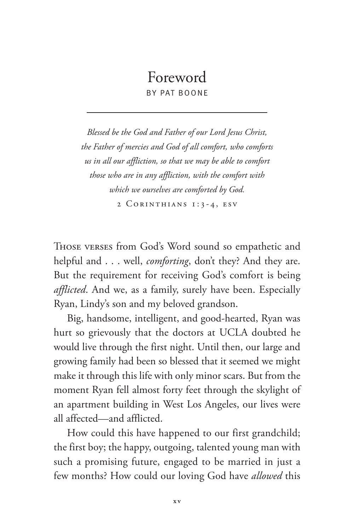## Foreword BY PAT BOONE

<span id="page-13-0"></span>*Blessed be the God and Father of our Lord Jesus Christ, the Father of mercies and God of all comfort, who comforts us in all our affliction, so that we may be able to comfort those who are in any affliction, with the comfort with which we ourselves are comforted by God.* 2 CORINTHIANS 1:3-4, ESV

Those verses from God's Word sound so empathetic and helpful and . . . well, *comforting*, don't they? And they are. But the requirement for receiving God's comfort is being *afflicted*. And we, as a family, surely have been. Especially Ryan, Lindy's son and my beloved grandson.

Big, handsome, intelligent, and good-hearted, Ryan was hurt so grievously that the doctors at UCLA doubted he would live through the first night. Until then, our large and growing family had been so blessed that it seemed we might make it through this life with only minor scars. But from the moment Ryan fell almost forty feet through the skylight of an apartment building in West Los Angeles, our lives were all affected—and afflicted.

How could this have happened to our first grandchild; the first boy; the happy, outgoing, talented young man with such a promising future, engaged to be married in just a few months? How could our loving God have *allowed* this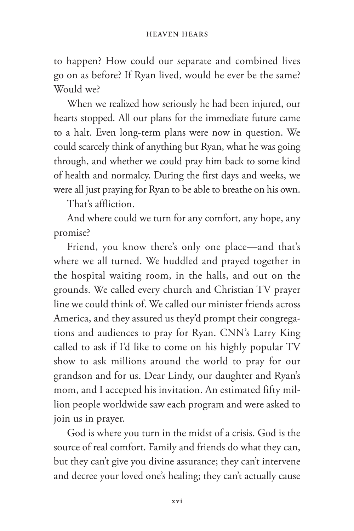to happen? How could our separate and combined lives go on as before? If Ryan lived, would he ever be the same? Would we?

When we realized how seriously he had been injured, our hearts stopped. All our plans for the immediate future came to a halt. Even long-term plans were now in question. We could scarcely think of anything but Ryan, what he was going through, and whether we could pray him back to some kind of health and normalcy. During the first days and weeks, we were all just praying for Ryan to be able to breathe on his own.

That's affliction.

And where could we turn for any comfort, any hope, any promise?

Friend, you know there's only one place—and that's where we all turned. We huddled and prayed together in the hospital waiting room, in the halls, and out on the grounds. We called every church and Christian TV prayer line we could think of. We called our minister friends across America, and they assured us they'd prompt their congregations and audiences to pray for Ryan. CNN's Larry King called to ask if I'd like to come on his highly popular TV show to ask millions around the world to pray for our grandson and for us. Dear Lindy, our daughter and Ryan's mom, and I accepted his invitation. An estimated fifty million people worldwide saw each program and were asked to join us in prayer.

God is where you turn in the midst of a crisis. God is the source of real comfort. Family and friends do what they can, but they can't give you divine assurance; they can't intervene and decree your loved one's healing; they can't actually cause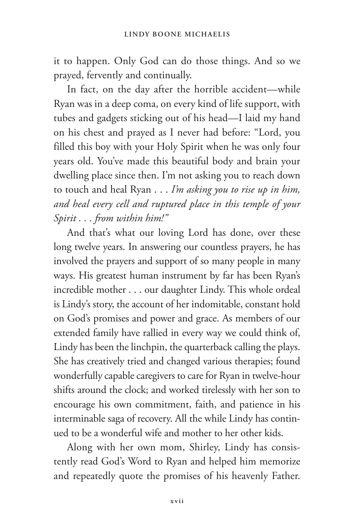it to happen. Only God can do those things. And so we prayed, fervently and continually.

In fact, on the day after the horrible accident-while Ryan was in a deep coma, on every kind of life support, with tubes and gadgets sticking out of his head—I laid my hand on his chest and prayed as I never had before: "Lord, you filled this boy with your Holy Spirit when he was only four years old. You've made this beautiful body and brain your dwelling place since then. I'm not asking you to reach down to touch and heal Ryan . . . *I'm asking you to rise up in him, and heal every cell and ruptured place in this temple of your Spirit . . . from within him!"*

And that's what our loving Lord has done, over these long twelve years. In answering our countless prayers, he has involved the prayers and support of so many people in many ways. His greatest human instrument by far has been Ryan's incredible mother . . . our daughter Lindy. This whole ordeal is Lindy's story, the account of her indomitable, constant hold on God's promises and power and grace. As members of our extended family have rallied in every way we could think of, Lindy has been the linchpin, the quarterback calling the plays. She has creatively tried and changed various therapies; found wonderfully capable caregivers to care for Ryan in twelve-hour shifts around the clock; and worked tirelessly with her son to encourage his own commitment, faith, and patience in his interminable saga of recovery. All the while Lindy has continued to be a wonderful wife and mother to her other kids.

Along with her own mom, Shirley, Lindy has consistently read God's Word to Ryan and helped him memorize and repeatedly quote the promises of his heavenly Father.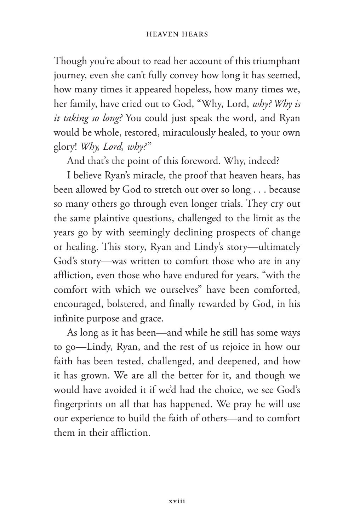Though you're about to read her account of this triumphant journey, even she can't fully convey how long it has seemed, how many times it appeared hopeless, how many times we, her family, have cried out to God, "Why, Lord, *why? Why is it taking so long?* You could just speak the word, and Ryan would be whole, restored, miraculously healed, to your own glory! *Why, Lord, why?* "

And that's the point of this foreword. Why, indeed?

I believe Ryan's miracle, the proof that heaven hears, has been allowed by God to stretch out over so long . . . because so many others go through even longer trials. They cry out the same plaintive questions, challenged to the limit as the years go by with seemingly declining prospects of change or healing. This story, Ryan and Lindy's story—ultimately God's story—was written to comfort those who are in any affliction, even those who have endured for years, "with the comfort with which we ourselves" have been comforted, encouraged, bolstered, and finally rewarded by God, in his infinite purpose and grace.

As long as it has been—and while he still has some ways to go—Lindy, Ryan, and the rest of us rejoice in how our faith has been tested, challenged, and deepened, and how it has grown. We are all the better for it, and though we would have avoided it if we'd had the choice, we see God's fingerprints on all that has happened. We pray he will use our experience to build the faith of others—and to comfort them in their affliction.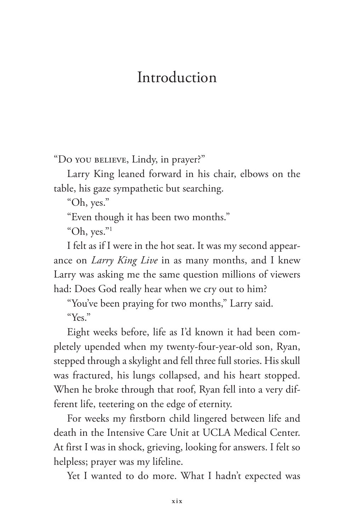# <span id="page-17-0"></span>Introduction

"Do you believe, Lindy, in prayer?"

Larry King leaned forward in his chair, elbows on the table, his gaze sympathetic but searching.

"Oh, yes."

"Even though it has been two months."

"Oh, yes."1

I felt as if I were in the hot seat. It was my second appearance on *Larry King Live* in as many months, and I knew Larry was asking me the same question millions of viewers had: Does God really hear when we cry out to him?

"You've been praying for two months," Larry said. "Yes."

Eight weeks before, life as I'd known it had been completely upended when my twenty-four-year-old son, Ryan, stepped through a skylight and fell three full stories. His skull was fractured, his lungs collapsed, and his heart stopped. When he broke through that roof, Ryan fell into a very different life, teetering on the edge of eternity.

For weeks my firstborn child lingered between life and death in the Intensive Care Unit at UCLA Medical Center. At first I was in shock, grieving, looking for answers. I felt so helpless; prayer was my lifeline.

Yet I wanted to do more. What I hadn't expected was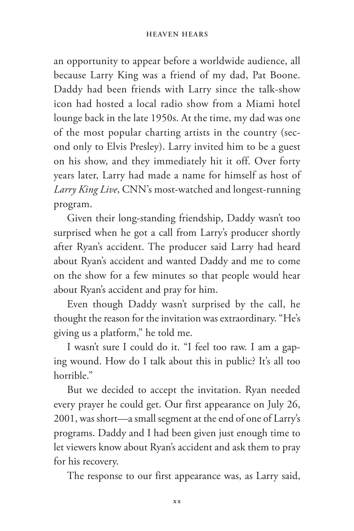an opportunity to appear before a worldwide audience, all because Larry King was a friend of my dad, Pat Boone. Daddy had been friends with Larry since the talk-show icon had hosted a local radio show from a Miami hotel lounge back in the late 1950s. At the time, my dad was one of the most popular charting artists in the country (second only to Elvis Presley). Larry invited him to be a guest on his show, and they immediately hit it off. Over forty years later, Larry had made a name for himself as host of Larry King Live, CNN's most-watched and longest-running program.

Given their long-standing friendship, Daddy wasn't too surprised when he got a call from Larry's producer shortly after Ryan's accident. The producer said Larry had heard about Ryan's accident and wanted Daddy and me to come on the show for a few minutes so that people would hear about Ryan's accident and pray for him.

Even though Daddy wasn't surprised by the call, he thought the reason for the invitation was extraordinary. "He's giving us a platform," he told me.

I wasn't sure I could do it. "I feel too raw. I am a gaping wound. How do I talk about this in public? It's all too horrible."

But we decided to accept the invitation. Ryan needed every prayer he could get. Our first appearance on July 26, 2001, was short—a small segment at the end of one of Larry's programs. Daddy and I had been given just enough time to let viewers know about Ryan's accident and ask them to pray for his recovery.

The response to our first appearance was, as Larry said,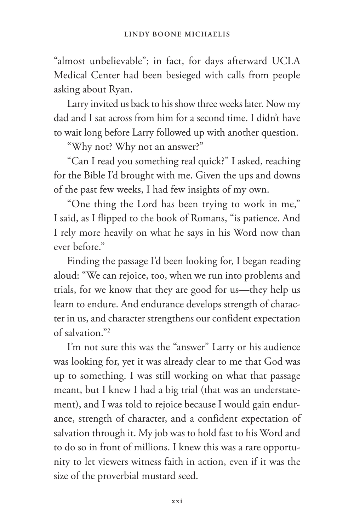"almost unbelievable"; in fact, for days afterward UCLA Medical Center had been besieged with calls from people asking about Ryan.

Larry invited us back to his show three weeks later. Now my dad and I sat across from him for a second time. I didn't have to wait long before Larry followed up with another question.

"Why not? Why not an answer?"

"Can I read you something real quick?" I asked, reaching for the Bible I'd brought with me. Given the ups and downs of the past few weeks, I had few insights of my own.

"One thing the Lord has been trying to work in me," I said, as I flipped to the book of Romans, "is patience. And I rely more heavily on what he says in his Word now than ever before."

Finding the passage I'd been looking for, I began reading aloud: "We can rejoice, too, when we run into problems and trials, for we know that they are good for us—they help us learn to endure. And endurance develops strength of character in us, and character strengthens our confident expectation of salvation."2

I'm not sure this was the "answer" Larry or his audience was looking for, yet it was already clear to me that God was up to something. I was still working on what that passage meant, but I knew I had a big trial (that was an understatement), and I was told to rejoice because I would gain endurance, strength of character, and a confident expectation of salvation through it. My job was to hold fast to his Word and to do so in front of millions. I knew this was a rare opportunity to let viewers witness faith in action, even if it was the size of the proverbial mustard seed.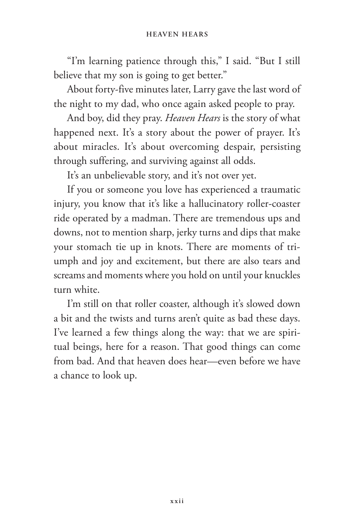"I'm learning patience through this," I said. "But I still believe that my son is going to get better."

About forty-five minutes later, Larry gave the last word of the night to my dad, who once again asked people to pray.

And boy, did they pray. *Heaven Hears* is the story of what happened next. It's a story about the power of prayer. It's about miracles. It's about overcoming despair, persisting through suffering, and surviving against all odds.

It's an unbelievable story, and it's not over yet.

If you or someone you love has experienced a traumatic injury, you know that it's like a hallucinatory roller-coaster ride operated by a madman. There are tremendous ups and downs, not to mention sharp, jerky turns and dips that make your stomach tie up in knots. There are moments of triumph and joy and excitement, but there are also tears and screams and moments where you hold on until your knuckles turn white.

I'm still on that roller coaster, although it's slowed down a bit and the twists and turns aren't quite as bad these days. I've learned a few things along the way: that we are spiritual beings, here for a reason. That good things can come from bad. And that heaven does hear—even before we have a chance to look up.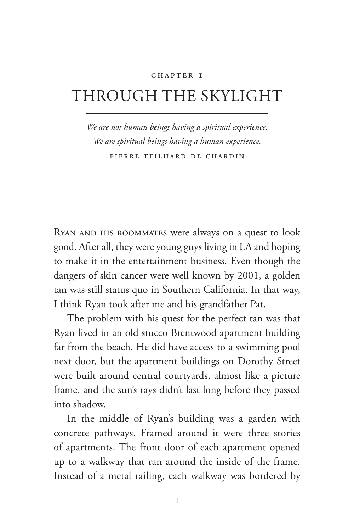#### CHAPTER I

# <span id="page-21-0"></span>Through the Skylight

*We are not human beings having a spiritual experience. We are spiritual beings having a human experience.* PIERRE TEILHARD DE CHARDIN

RYAN AND HIS ROOMMATES were always on a quest to look good. After all, they were young guys living in LA and hoping to make it in the entertainment business. Even though the dangers of skin cancer were well known by 2001, a golden tan was still status quo in Southern California. In that way, I think Ryan took after me and his grandfather Pat.

The problem with his quest for the perfect tan was that Ryan lived in an old stucco Brentwood apartment building far from the beach. He did have access to a swimming pool next door, but the apartment buildings on Dorothy Street were built around central courtyards, almost like a picture frame, and the sun's rays didn't last long before they passed into shadow.

In the middle of Ryan's building was a garden with concrete pathways. Framed around it were three stories of apartments. The front door of each apartment opened up to a walkway that ran around the inside of the frame. Instead of a metal railing, each walkway was bordered by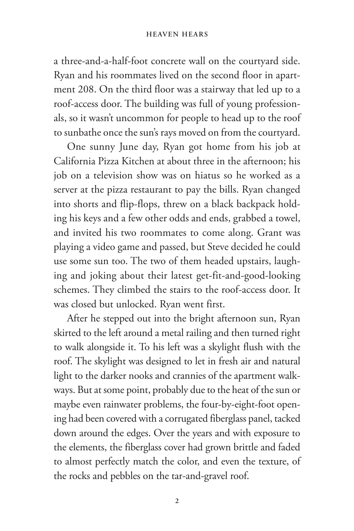a three-and-a-half-foot concrete wall on the courtyard side. Ryan and his roommates lived on the second floor in apartment 208. On the third floor was a stairway that led up to a roof-access door. The building was full of young professionals, so it wasn't uncommon for people to head up to the roof to sunbathe once the sun's rays moved on from the courtyard.

One sunny June day, Ryan got home from his job at California Pizza Kitchen at about three in the afternoon; his job on a television show was on hiatus so he worked as a server at the pizza restaurant to pay the bills. Ryan changed into shorts and flip-flops, threw on a black backpack holding his keys and a few other odds and ends, grabbed a towel, and invited his two roommates to come along. Grant was playing a video game and passed, but Steve decided he could use some sun too. The two of them headed upstairs, laughing and joking about their latest get-fit-and-good-looking schemes. They climbed the stairs to the roof-access door. It was closed but unlocked. Ryan went first.

After he stepped out into the bright afternoon sun, Ryan skirted to the left around a metal railing and then turned right to walk alongside it. To his left was a skylight flush with the roof. The skylight was designed to let in fresh air and natural light to the darker nooks and crannies of the apartment walkways. But at some point, probably due to the heat of the sun or maybe even rainwater problems, the four-by-eight-foot opening had been covered with a corrugated fiberglass panel, tacked down around the edges. Over the years and with exposure to the elements, the fiberglass cover had grown brittle and faded to almost perfectly match the color, and even the texture, of the rocks and pebbles on the tar-and-gravel roof.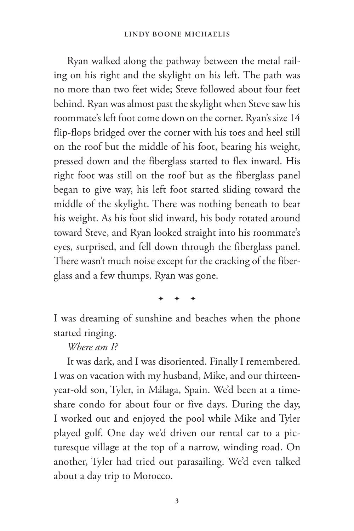Ryan walked along the pathway between the metal railing on his right and the skylight on his left. The path was no more than two feet wide; Steve followed about four feet behind. Ryan was almost past the skylight when Steve saw his roommate's left foot come down on the corner. Ryan's size 14 flip-flops bridged over the corner with his toes and heel still on the roof but the middle of his foot, bearing his weight, pressed down and the fiberglass started to flex inward. His right foot was still on the roof but as the fiberglass panel began to give way, his left foot started sliding toward the middle of the skylight. There was nothing beneath to bear his weight. As his foot slid inward, his body rotated around toward Steve, and Ryan looked straight into his roommate's eyes, surprised, and fell down through the fiberglass panel. There wasn't much noise except for the cracking of the fiberglass and a few thumps. Ryan was gone.

 $+$   $+$   $+$ 

I was dreaming of sunshine and beaches when the phone started ringing.

### *Where am I?*

It was dark, and I was disoriented. Finally I remembered. I was on vacation with my husband, Mike, and our thirteenyear-old son, Tyler, in Málaga, Spain. We'd been at a timeshare condo for about four or five days. During the day, I worked out and enjoyed the pool while Mike and Tyler played golf. One day we'd driven our rental car to a picturesque village at the top of a narrow, winding road. On another, Tyler had tried out parasailing. We'd even talked about a day trip to Morocco.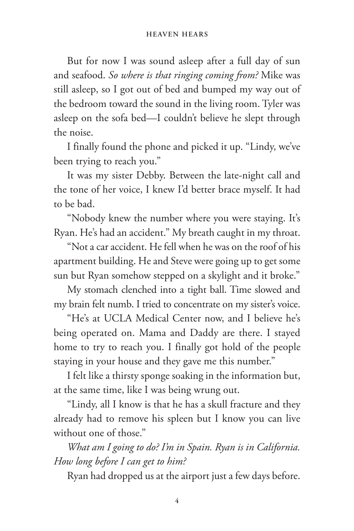But for now I was sound asleep after a full day of sun and seafood. *So where is that ringing coming from?* Mike was still asleep, so I got out of bed and bumped my way out of the bedroom toward the sound in the living room. Tyler was asleep on the sofa bed—I couldn't believe he slept through the noise.

I finally found the phone and picked it up. "Lindy, we've been trying to reach you."

It was my sister Debby. Between the late-night call and the tone of her voice, I knew I'd better brace myself. It had to be bad.

"Nobody knew the number where you were staying. It's Ryan. He's had an accident." My breath caught in my throat.

"Not a car accident. He fell when he was on the roof of his apartment building. He and Steve were going up to get some sun but Ryan somehow stepped on a skylight and it broke."

My stomach clenched into a tight ball. Time slowed and my brain felt numb. I tried to concentrate on my sister's voice.

"He's at UCLA Medical Center now, and I believe he's being operated on. Mama and Daddy are there. I stayed home to try to reach you. I finally got hold of the people staying in your house and they gave me this number."

I felt like a thirsty sponge soaking in the information but, at the same time, like I was being wrung out.

"Lindy, all I know is that he has a skull fracture and they already had to remove his spleen but I know you can live without one of those."

*What am I going to do? I'm in Spain. Ryan is in California. How long before I can get to him?*

Ryan had dropped us at the airport just a few days before.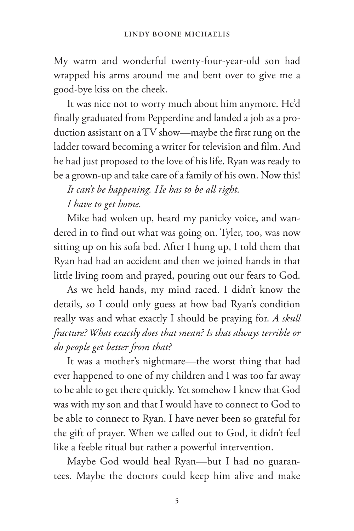My warm and wonderful twenty-four-year-old son had wrapped his arms around me and bent over to give me a good-bye kiss on the cheek.

It was nice not to worry much about him anymore. He'd finally graduated from Pepperdine and landed a job as a production assistant on a TV show—maybe the first rung on the ladder toward becoming a writer for television and film. And he had just proposed to the love of his life. Ryan was ready to be a grown-up and take care of a family of his own. Now this!

*It can't be happening. He has to be all right. I have to get home.*

Mike had woken up, heard my panicky voice, and wandered in to find out what was going on. Tyler, too, was now sitting up on his sofa bed. After I hung up, I told them that Ryan had had an accident and then we joined hands in that little living room and prayed, pouring out our fears to God.

As we held hands, my mind raced. I didn't know the details, so I could only guess at how bad Ryan's condition really was and what exactly I should be praying for. *A skull fracture? What exactly does that mean? Is that always terrible or do people get better from that?*

It was a mother's nightmare—the worst thing that had ever happened to one of my children and I was too far away to be able to get there quickly. Yet somehow I knew that God was with my son and that I would have to connect to God to be able to connect to Ryan. I have never been so grateful for the gift of prayer. When we called out to God, it didn't feel like a feeble ritual but rather a powerful intervention.

Maybe God would heal Ryan—but I had no guarantees. Maybe the doctors could keep him alive and make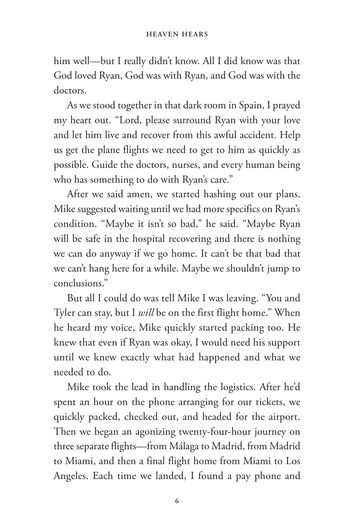him well—but I really didn't know. All I did know was that God loved Ryan, God was with Ryan, and God was with the doctors.

As we stood together in that dark room in Spain, I prayed my heart out. "Lord, please surround Ryan with your love and let him live and recover from this awful accident. Help us get the plane flights we need to get to him as quickly as possible. Guide the doctors, nurses, and every human being who has something to do with Ryan's care."

After we said amen, we started hashing out our plans. Mike suggested waiting until we had more specifics on Ryan's condition. "Maybe it isn't so bad," he said. "Maybe Ryan will be safe in the hospital recovering and there is nothing we can do anyway if we go home. It can't be that bad that we can't hang here for a while. Maybe we shouldn't jump to conclusions."

But all I could do was tell Mike I was leaving. "You and Tyler can stay, but I *will* be on the first flight home." When he heard my voice, Mike quickly started packing too. He knew that even if Ryan was okay, I would need his support until we knew exactly what had happened and what we needed to do.

Mike took the lead in handling the logistics. After he'd spent an hour on the phone arranging for our tickets, we quickly packed, checked out, and headed for the airport. Then we began an agonizing twenty-four-hour journey on three separate flights—from Málaga to Madrid, from Madrid to Miami, and then a final flight home from Miami to Los Angeles. Each time we landed, I found a pay phone and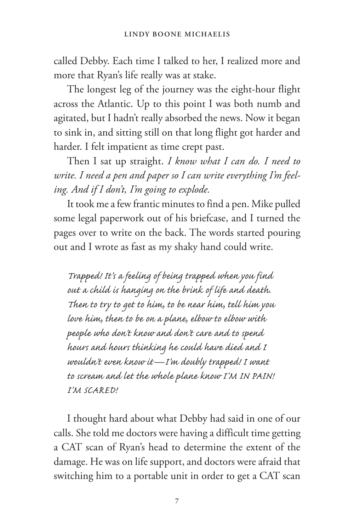called Debby. Each time I talked to her, I realized more and more that Ryan's life really was at stake.

The longest leg of the journey was the eight-hour flight across the Atlantic. Up to this point I was both numb and agitated, but I hadn't really absorbed the news. Now it began to sink in, and sitting still on that long flight got harder and harder. I felt impatient as time crept past.

Then I sat up straight. *I know what I can do. I need to write. I need a pen and paper so I can write everything I'm feeling. And if I don't, I'm going to explode.*

It took me a few frantic minutes to find a pen. Mike pulled some legal paperwork out of his briefcase, and I turned the pages over to write on the back. The words started pouring out and I wrote as fast as my shaky hand could write.

*Trapped! It's a feeling of being trapped when you find out a child is hanging on the brink of life and death. Then to try to get to him, to be near him, tell him you love him, then to be on a plane, elbow to elbow with people who don't know and don't care and to spend hours and hours thinking he could have died and I wouldn't even know it—I'm doubly trapped! I want to scream and let the whole plane know I'M IN PAIN! I'M SCARED!*

I thought hard about what Debby had said in one of our calls. She told me doctors were having a difficult time getting a CAT scan of Ryan's head to determine the extent of the damage. He was on life support, and doctors were afraid that switching him to a portable unit in order to get a CAT scan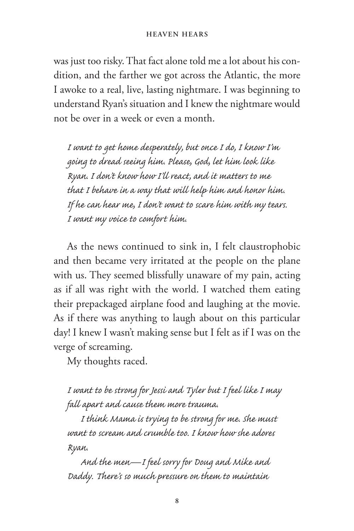was just too risky. That fact alone told me a lot about his condition, and the farther we got across the Atlantic, the more I awoke to a real, live, lasting nightmare. I was beginning to understand Ryan's situation and I knew the nightmare would not be over in a week or even a month.

*I want to get home desperately, but once I do, I know I'm going to dread seeing him. Please, God, let him look like Ryan. I don't know how I'll react, and it matters to me that I behave in a way that will help him and honor him. If he can hear me, I don't want to scare him with my tears. I want my voice to comfort him.*

As the news continued to sink in, I felt claustrophobic and then became very irritated at the people on the plane with us. They seemed blissfully unaware of my pain, acting as if all was right with the world. I watched them eating their prepackaged airplane food and laughing at the movie. As if there was anything to laugh about on this particular day! I knew I wasn't making sense but I felt as if I was on the verge of screaming.

My thoughts raced.

*I want to be strong for Jessi and Tyler but I feel like I may fall apart and cause them more trauma.*

*I think Mama is trying to be strong for me. She must want to scream and crumble too. I know how she adores Ryan.*

*And the men—I feel sorry for Doug and Mike and Daddy. There's so much pressure on them to maintain*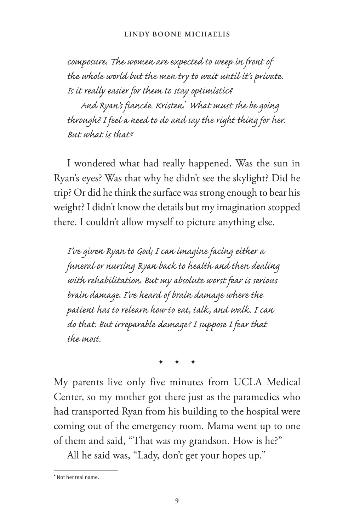*composure. The women are expected to weep in front of the whole world but the men try to wait until it's private. Is it really easier for them to stay optimistic? And Ryan's fiancée. Kristen.*\*  *What must she be going through? I feel a need to do and say the right thing for her. But what is that?*

I wondered what had really happened. Was the sun in Ryan's eyes? Was that why he didn't see the skylight? Did he trip? Or did he think the surface was strong enough to bear his weight? I didn't know the details but my imagination stopped there. I couldn't allow myself to picture anything else.

*I've given Ryan to God; I can imagine facing either a funeral or nursing Ryan back to health and then dealing with rehabilitation. But my absolute worst fear is serious brain damage. I've heard of brain damage where the patient has to relearn how to eat, talk, and walk. I can do that. But irreparable damage? I suppose I fear that the most.*

 $++$ 

My parents live only five minutes from UCLA Medical Center, so my mother got there just as the paramedics who had transported Ryan from his building to the hospital were coming out of the emergency room. Mama went up to one of them and said, "That was my grandson. How is he?"

All he said was, "Lady, don't get your hopes up."

<sup>\*</sup> Not her real name.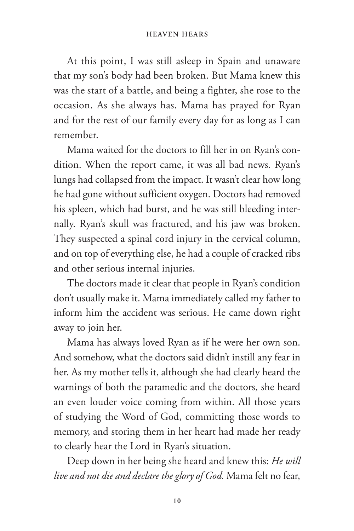At this point, I was still asleep in Spain and unaware that my son's body had been broken. But Mama knew this was the start of a battle, and being a fighter, she rose to the occasion. As she always has. Mama has prayed for Ryan and for the rest of our family every day for as long as I can remember.

Mama waited for the doctors to fill her in on Ryan's condition. When the report came, it was all bad news. Ryan's lungs had collapsed from the impact. It wasn't clear how long he had gone without sufficient oxygen. Doctors had removed his spleen, which had burst, and he was still bleeding internally. Ryan's skull was fractured, and his jaw was broken. They suspected a spinal cord injury in the cervical column, and on top of everything else, he had a couple of cracked ribs and other serious internal injuries.

The doctors made it clear that people in Ryan's condition don't usually make it. Mama immediately called my father to inform him the accident was serious. He came down right away to join her.

Mama has always loved Ryan as if he were her own son. And somehow, what the doctors said didn't instill any fear in her. As my mother tells it, although she had clearly heard the warnings of both the paramedic and the doctors, she heard an even louder voice coming from within. All those years of studying the Word of God, committing those words to memory, and storing them in her heart had made her ready to clearly hear the Lord in Ryan's situation.

Deep down in her being she heard and knew this: *He will live and not die and declare the glory of God.* Mama felt no fear,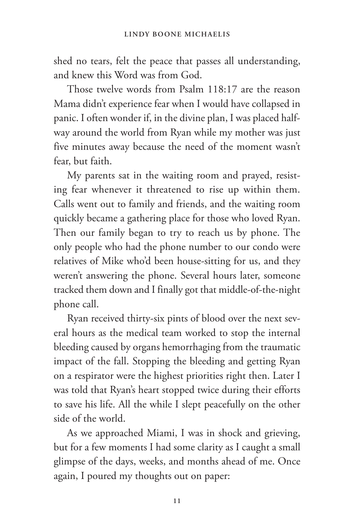shed no tears, felt the peace that passes all understanding, and knew this Word was from God.

Those twelve words from Psalm 118:17 are the reason Mama didn't experience fear when I would have collapsed in panic. I often wonder if, in the divine plan, I was placed halfway around the world from Ryan while my mother was just five minutes away because the need of the moment wasn't fear, but faith.

My parents sat in the waiting room and prayed, resisting fear whenever it threatened to rise up within them. Calls went out to family and friends, and the waiting room quickly became a gathering place for those who loved Ryan. Then our family began to try to reach us by phone. The only people who had the phone number to our condo were relatives of Mike who'd been house-sitting for us, and they weren't answering the phone. Several hours later, someone tracked them down and I finally got that middle-of- the-night phone call.

Ryan received thirty-six pints of blood over the next several hours as the medical team worked to stop the internal bleeding caused by organs hemorrhaging from the traumatic impact of the fall. Stopping the bleeding and getting Ryan on a respirator were the highest priorities right then. Later I was told that Ryan's heart stopped twice during their efforts to save his life. All the while I slept peacefully on the other side of the world.

As we approached Miami, I was in shock and grieving, but for a few moments I had some clarity as I caught a small glimpse of the days, weeks, and months ahead of me. Once again, I poured my thoughts out on paper: